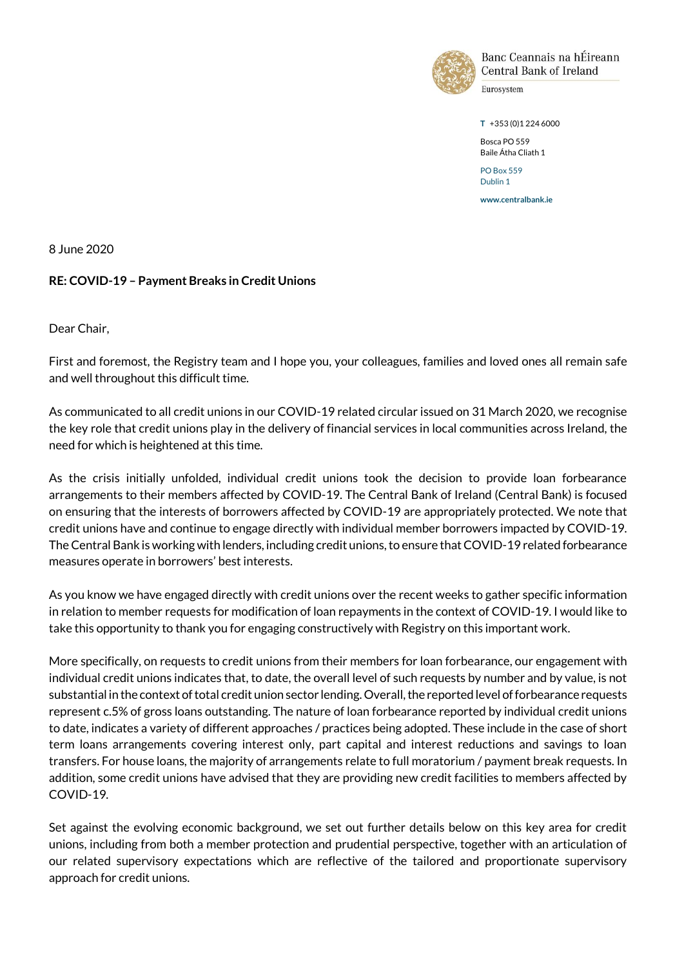

Banc Ceannais na hÉireann **Central Bank of Ireland** 

Eurosystem

**T** +353 (0)1 224 6000

Bosca PO 559 Baile Átha Cliath 1 PO Box 559

Dublin 1

**www.centralbank.ie**

8 June 2020

### **RE: COVID-19 – Payment Breaks in Credit Unions**

Dear Chair,

First and foremost, the Registry team and I hope you, your colleagues, families and loved ones all remain safe and well throughout this difficult time.

As communicated to all credit unions in our COVID-19 related circular issued on 31 March 2020, we recognise the key role that credit unions play in the delivery of financial services in local communities across Ireland, the need for which is heightened at this time.

As the crisis initially unfolded, individual credit unions took the decision to provide loan forbearance arrangements to their members affected by COVID-19. The Central Bank of Ireland (Central Bank) is focused on ensuring that the interests of borrowers affected by COVID-19 are appropriately protected. We note that credit unions have and continue to engage directly with individual member borrowers impacted by COVID-19. The Central Bank is working with lenders, including credit unions, to ensure that COVID-19 related forbearance measures operate in borrowers' best interests.

As you know we have engaged directly with credit unions over the recent weeks to gather specific information in relation to member requests for modification of loan repayments in the context of COVID-19. I would like to take this opportunity to thank you for engaging constructively with Registry on this important work.

More specifically, on requests to credit unions from their members for loan forbearance, our engagement with individual credit unions indicates that, to date, the overall level of such requests by number and by value, is not substantial in the context of total credit union sector lending. Overall, the reported level offorbearance requests represent c.5% of gross loans outstanding. The nature of loan forbearance reported by individual credit unions to date, indicates a variety of different approaches / practices being adopted. These include in the case of short term loans arrangements covering interest only, part capital and interest reductions and savings to loan transfers. For house loans, the majority of arrangements relate to full moratorium / payment break requests. In addition, some credit unions have advised that they are providing new credit facilities to members affected by COVID-19.

Set against the evolving economic background, we set out further details below on this key area for credit unions, including from both a member protection and prudential perspective, together with an articulation of our related supervisory expectations which are reflective of the tailored and proportionate supervisory approach for credit unions.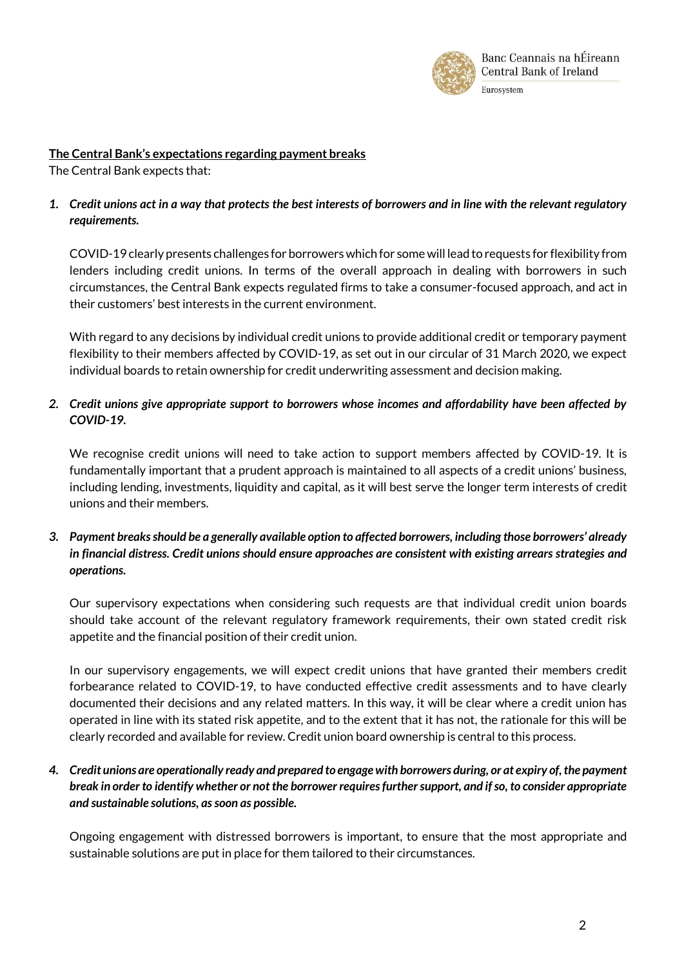

### **The Central Bank's expectations regarding payment breaks**

The Central Bank expects that:

# *1. Credit unions act in a way that protects the best interests of borrowers and in line with the relevant regulatory requirements.*

COVID-19 clearly presents challenges for borrowers which for some will lead to requests for flexibility from lenders including credit unions. In terms of the overall approach in dealing with borrowers in such circumstances, the Central Bank expects regulated firms to take a consumer-focused approach, and act in their customers' best interests in the current environment.

With regard to any decisions by individual credit unions to provide additional credit or temporary payment flexibility to their members affected by COVID-19, as set out in our circular of 31 March 2020, we expect individual boards to retain ownership for credit underwriting assessment and decision making.

# *2. Credit unions give appropriate support to borrowers whose incomes and affordability have been affected by COVID-19.*

We recognise credit unions will need to take action to support members affected by COVID-19. It is fundamentally important that a prudent approach is maintained to all aspects of a credit unions' business, including lending, investments, liquidity and capital, as it will best serve the longer term interests of credit unions and their members.

### *3. Payment breaks should be a generally available option to affected borrowers, including those borrowers' already in financial distress. Credit unions should ensure approaches are consistent with existing arrears strategies and operations.*

Our supervisory expectations when considering such requests are that individual credit union boards should take account of the relevant regulatory framework requirements, their own stated credit risk appetite and the financial position of their credit union.

In our supervisory engagements, we will expect credit unions that have granted their members credit forbearance related to COVID-19, to have conducted effective credit assessments and to have clearly documented their decisions and any related matters. In this way, it will be clear where a credit union has operated in line with its stated risk appetite, and to the extent that it has not, the rationale for this will be clearly recorded and available for review. Credit union board ownership is central to this process.

# *4. Credit unions are operationally ready and prepared to engage with borrowers during, or at expiry of, the payment break in order to identify whether or not the borrower requires further support, and if so, to consider appropriate and sustainable solutions, as soon as possible.*

Ongoing engagement with distressed borrowers is important, to ensure that the most appropriate and sustainable solutions are put in place for them tailored to their circumstances.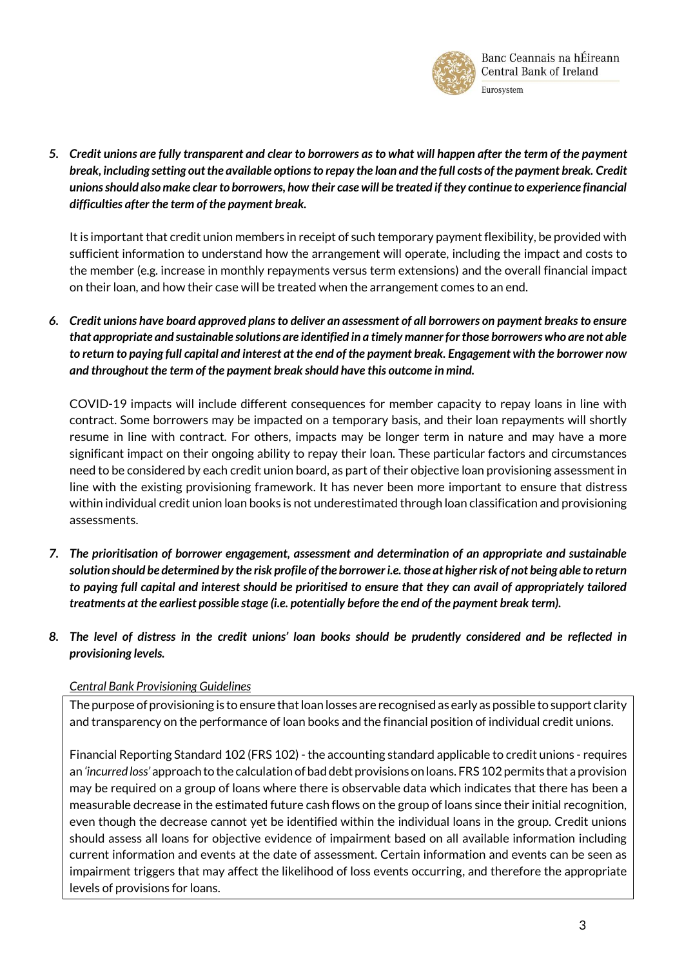

*5. Credit unions are fully transparent and clear to borrowers as to what will happen after the term of the payment break, including setting out the available options to repay the loan and the full costs of the payment break. Credit unionsshould also make clear to borrowers, how their case will be treated if they continue to experience financial difficulties after the term of the payment break.* 

It is important that credit union members in receipt of such temporary payment flexibility, be provided with sufficient information to understand how the arrangement will operate, including the impact and costs to the member (e.g. increase in monthly repayments versus term extensions) and the overall financial impact on their loan, and how their case will be treated when the arrangement comes to an end.

*6. Credit unions have board approved plans to deliver an assessment of all borrowers on payment breaks to ensure that appropriate and sustainable solutions are identified in a timely manner for those borrowers who are not able to return to paying full capital and interest at the end of the payment break. Engagement with the borrower now and throughout the term of the payment break should have this outcome in mind.* 

COVID-19 impacts will include different consequences for member capacity to repay loans in line with contract. Some borrowers may be impacted on a temporary basis, and their loan repayments will shortly resume in line with contract. For others, impacts may be longer term in nature and may have a more significant impact on their ongoing ability to repay their loan. These particular factors and circumstances need to be considered by each credit union board, as part of their objective loan provisioning assessment in line with the existing provisioning framework. It has never been more important to ensure that distress within individual credit union loan books is not underestimated through loan classification and provisioning assessments.

- *7. The prioritisation of borrower engagement, assessment and determination of an appropriate and sustainable solution should be determined by the risk profile of the borrower i.e. those at higher risk of not being able to return to paying full capital and interest should be prioritised to ensure that they can avail of appropriately tailored treatments at the earliest possible stage (i.e. potentially before the end of the payment break term).*
- *8. The level of distress in the credit unions' loan books should be prudently considered and be reflected in provisioning levels.*

### *Central Bank Provisioning Guidelines*

The purpose of provisioning is to ensure that loan losses are recognised as early as possible to support clarity and transparency on the performance of loan books and the financial position of individual credit unions.

Financial Reporting Standard 102 (FRS 102) - the accounting standard applicable to credit unions - requires an *'incurred loss'* approach to the calculation of bad debt provisions on loans. FRS 102 permits that a provision may be required on a group of loans where there is observable data which indicates that there has been a measurable decrease in the estimated future cash flows on the group of loans since their initial recognition, even though the decrease cannot yet be identified within the individual loans in the group. Credit unions should assess all loans for objective evidence of impairment based on all available information including current information and events at the date of assessment. Certain information and events can be seen as impairment triggers that may affect the likelihood of loss events occurring, and therefore the appropriate levels of provisions for loans.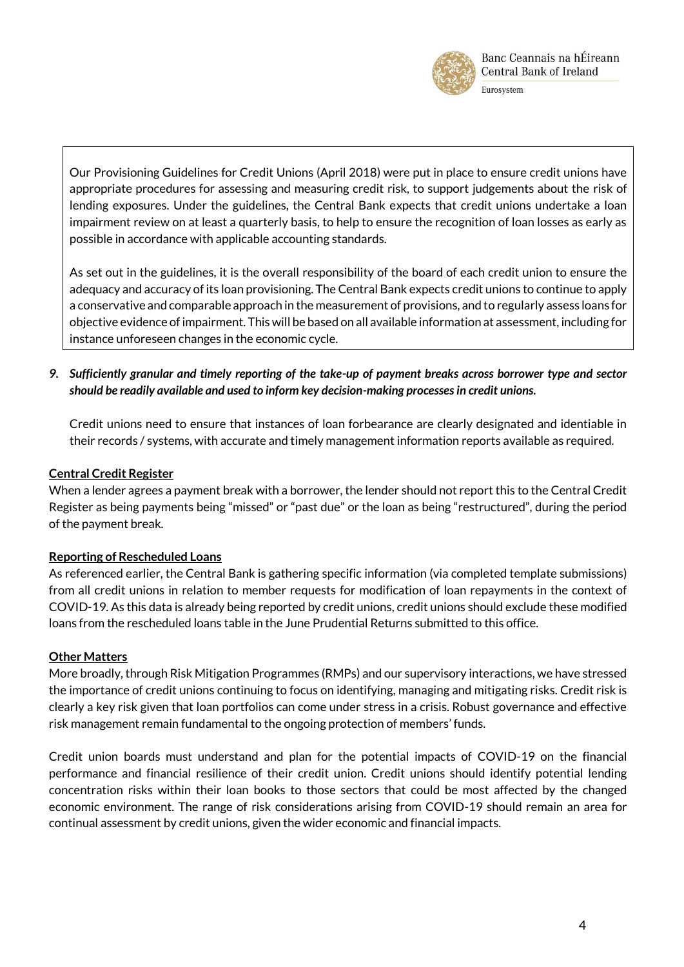

Ou[r Provisioning Guidelines for Credit Unions](https://www.centralbank.ie/docs/default-source/Regulation/industry-market-sectors/credit-unions/credit-union-handbook/provisioning-guidelines-for-credit-unions.pdf) (April 2018) were put in place to ensure credit unions have appropriate procedures for assessing and measuring credit risk, to support judgements about the risk of lending exposures. Under the guidelines, the Central Bank expects that credit unions undertake a loan impairment review on at least a quarterly basis, to help to ensure the recognition of loan losses as early as possible in accordance with applicable accounting standards.

As set out in the guidelines, it is the overall responsibility of the board of each credit union to ensure the adequacy and accuracy of its loan provisioning. The Central Bank expects credit unions to continue to apply a conservative and comparable approach in the measurement of provisions, and to regularly assess loans for objective evidence of impairment. This will be based on all available information at assessment, including for instance unforeseen changes in the economic cycle.

*9. Sufficiently granular and timely reporting of the take-up of payment breaks across borrower type and sector should be readily available and used to inform key decision-making processes in credit unions.* 

Credit unions need to ensure that instances of loan forbearance are clearly designated and identiable in their records / systems, with accurate and timely management information reports available as required.

# **Central Credit Register**

When a lender agrees a payment break with a borrower, the lender should not report this to the Central Credit Register as being payments being "missed" or "past due" or the loan as being "restructured", during the period of the payment break.

# **Reporting of Rescheduled Loans**

As referenced earlier, the Central Bank is gathering specific information (via completed template submissions) from all credit unions in relation to member requests for modification of loan repayments in the context of COVID-19. As this data is already being reported by credit unions, credit unions should exclude these modified loans from the rescheduled loans table in the June Prudential Returns submitted to this office.

### **Other Matters**

More broadly, through Risk Mitigation Programmes (RMPs) and our supervisory interactions, we have stressed the importance of credit unions continuing to focus on identifying, managing and mitigating risks. Credit risk is clearly a key risk given that loan portfolios can come under stress in a crisis. Robust governance and effective risk management remain fundamental to the ongoing protection of members' funds.

Credit union boards must understand and plan for the potential impacts of COVID-19 on the financial performance and financial resilience of their credit union. Credit unions should identify potential lending concentration risks within their loan books to those sectors that could be most affected by the changed economic environment. The range of risk considerations arising from COVID-19 should remain an area for continual assessment by credit unions, given the wider economic and financial impacts.